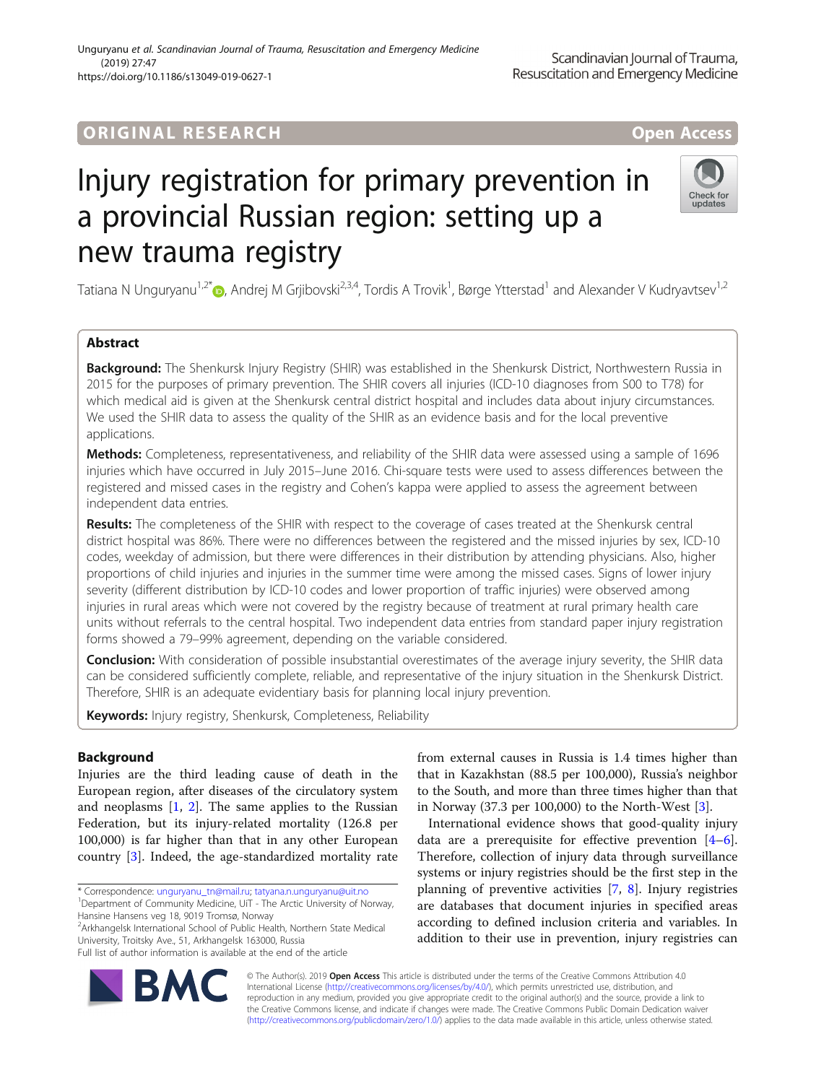## **ORIGINAL RESEARCH AND LOCAL CONSUMING A LOCAL CONSUMING A LOCAL CONSUMING A LOCAL CONSUMING A LOCAL CONSUMING**

# Injury registration for primary prevention in a provincial Russian region: setting up a new trauma registry

Tatiana N Unguryanu<sup>1,2[\\*](http://orcid.org/0000-0001-8936-7324)</sup>®, Andrej M Grjibovski<sup>2,3,4</sup>, Tordis A Trovik<sup>1</sup>, Børge Ytterstad<sup>1</sup> and Alexander V Kudryavtsev<sup>1,2</sup>

## Abstract

Background: The Shenkursk Injury Registry (SHIR) was established in the Shenkursk District, Northwestern Russia in 2015 for the purposes of primary prevention. The SHIR covers all injuries (ICD-10 diagnoses from S00 to T78) for which medical aid is given at the Shenkursk central district hospital and includes data about injury circumstances. We used the SHIR data to assess the quality of the SHIR as an evidence basis and for the local preventive applications.

Methods: Completeness, representativeness, and reliability of the SHIR data were assessed using a sample of 1696 injuries which have occurred in July 2015–June 2016. Chi-square tests were used to assess differences between the registered and missed cases in the registry and Cohen's kappa were applied to assess the agreement between independent data entries.

Results: The completeness of the SHIR with respect to the coverage of cases treated at the Shenkursk central district hospital was 86%. There were no differences between the registered and the missed injuries by sex, ICD-10 codes, weekday of admission, but there were differences in their distribution by attending physicians. Also, higher proportions of child injuries and injuries in the summer time were among the missed cases. Signs of lower injury severity (different distribution by ICD-10 codes and lower proportion of traffic injuries) were observed among injuries in rural areas which were not covered by the registry because of treatment at rural primary health care units without referrals to the central hospital. Two independent data entries from standard paper injury registration forms showed a 79–99% agreement, depending on the variable considered.

Conclusion: With consideration of possible insubstantial overestimates of the average injury severity, the SHIR data can be considered sufficiently complete, reliable, and representative of the injury situation in the Shenkursk District. Therefore, SHIR is an adequate evidentiary basis for planning local injury prevention.

Keywords: Injury registry, Shenkursk, Completeness, Reliability

## Background

Injuries are the third leading cause of death in the European region, after diseases of the circulatory system and neoplasms [\[1](#page-8-0), [2](#page-8-0)]. The same applies to the Russian Federation, but its injury-related mortality (126.8 per 100,000) is far higher than that in any other European country [\[3](#page-8-0)]. Indeed, the age-standardized mortality rate

\* Correspondence: [unguryanu\\_tn@mail.ru](mailto:unguryanu_tn@mail.ru); [tatyana.n.unguryanu@uit.no](mailto:tatyana.n.unguryanu@uit.no) <sup>1</sup>

<sup>2</sup> Arkhangelsk International School of Public Health, Northern State Medical University, Troitsky Ave., 51, Arkhangelsk 163000, Russia

from external causes in Russia is 1.4 times higher than that in Kazakhstan (88.5 per 100,000), Russia's neighbor to the South, and more than three times higher than that in Norway (37.3 per 100,000) to the North-West [\[3](#page-8-0)].

International evidence shows that good-quality injury data are a prerequisite for effective prevention  $[4-6]$  $[4-6]$  $[4-6]$  $[4-6]$ . Therefore, collection of injury data through surveillance systems or injury registries should be the first step in the planning of preventive activities [[7,](#page-8-0) [8](#page-8-0)]. Injury registries are databases that document injuries in specified areas according to defined inclusion criteria and variables. In addition to their use in prevention, injury registries can

© The Author(s). 2019 Open Access This article is distributed under the terms of the Creative Commons Attribution 4.0 International License [\(http://creativecommons.org/licenses/by/4.0/](http://creativecommons.org/licenses/by/4.0/)), which permits unrestricted use, distribution, and reproduction in any medium, provided you give appropriate credit to the original author(s) and the source, provide a link to the Creative Commons license, and indicate if changes were made. The Creative Commons Public Domain Dedication waiver [\(http://creativecommons.org/publicdomain/zero/1.0/](http://creativecommons.org/publicdomain/zero/1.0/)) applies to the data made available in this article, unless otherwise stated.



Scandinavian Journal of Trauma, Resuscitation and Emergency Medicine



<sup>&</sup>lt;sup>1</sup>Department of Community Medicine, UiT - The Arctic University of Norway, Hansine Hansens veg 18, 9019 Tromsø, Norway

Full list of author information is available at the end of the article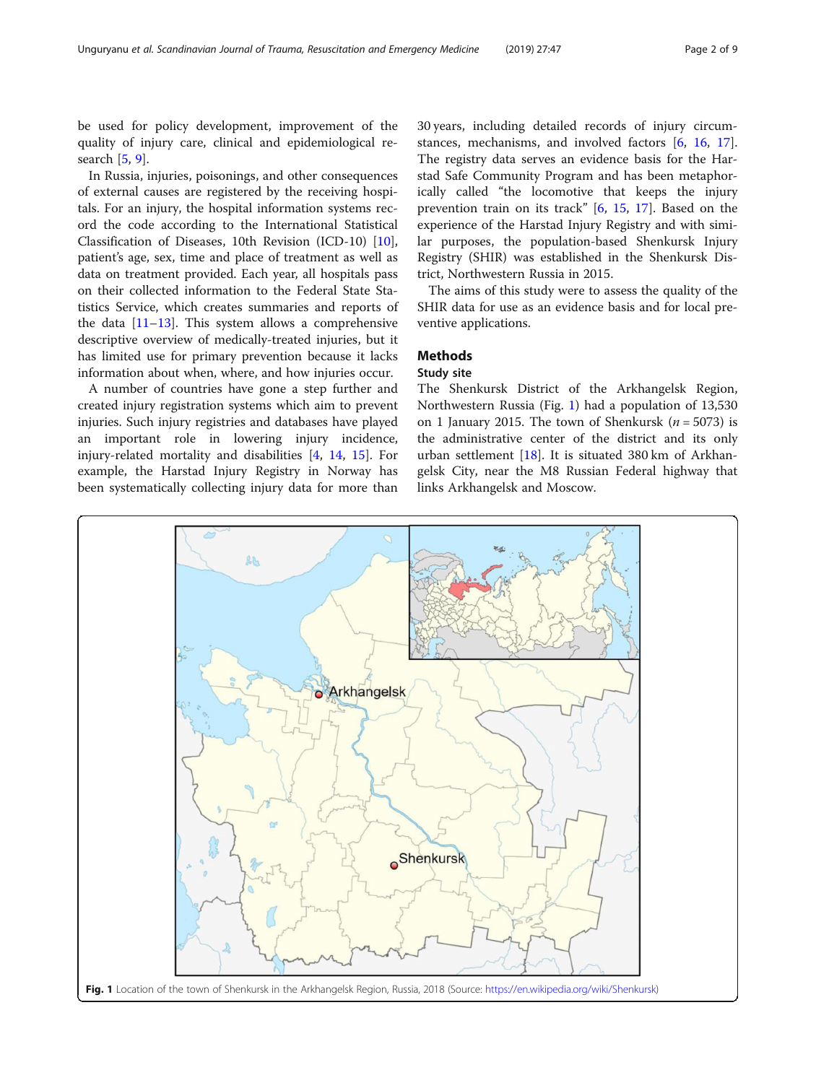be used for policy development, improvement of the quality of injury care, clinical and epidemiological research [[5,](#page-8-0) [9\]](#page-8-0).

In Russia, injuries, poisonings, and other consequences of external causes are registered by the receiving hospitals. For an injury, the hospital information systems record the code according to the International Statistical Classification of Diseases, 10th Revision (ICD-10) [\[10](#page-8-0)], patient's age, sex, time and place of treatment as well as data on treatment provided. Each year, all hospitals pass on their collected information to the Federal State Statistics Service, which creates summaries and reports of the data  $[11-13]$  $[11-13]$  $[11-13]$ . This system allows a comprehensive descriptive overview of medically-treated injuries, but it has limited use for primary prevention because it lacks information about when, where, and how injuries occur.

A number of countries have gone a step further and created injury registration systems which aim to prevent injuries. Such injury registries and databases have played an important role in lowering injury incidence, injury-related mortality and disabilities [[4](#page-8-0), [14](#page-8-0), [15\]](#page-8-0). For example, the Harstad Injury Registry in Norway has been systematically collecting injury data for more than

30 years, including detailed records of injury circumstances, mechanisms, and involved factors [\[6](#page-8-0), [16](#page-8-0), [17](#page-8-0)]. The registry data serves an evidence basis for the Harstad Safe Community Program and has been metaphorically called "the locomotive that keeps the injury prevention train on its track" [\[6](#page-8-0), [15](#page-8-0), [17](#page-8-0)]. Based on the experience of the Harstad Injury Registry and with similar purposes, the population-based Shenkursk Injury Registry (SHIR) was established in the Shenkursk District, Northwestern Russia in 2015.

The aims of this study were to assess the quality of the SHIR data for use as an evidence basis and for local preventive applications.

## **Methods**

## Study site

The Shenkursk District of the Arkhangelsk Region, Northwestern Russia (Fig. 1) had a population of 13,530 on 1 January 2015. The town of Shenkursk  $(n = 5073)$  is the administrative center of the district and its only urban settlement [[18](#page-8-0)]. It is situated 380 km of Arkhangelsk City, near the M8 Russian Federal highway that links Arkhangelsk and Moscow.

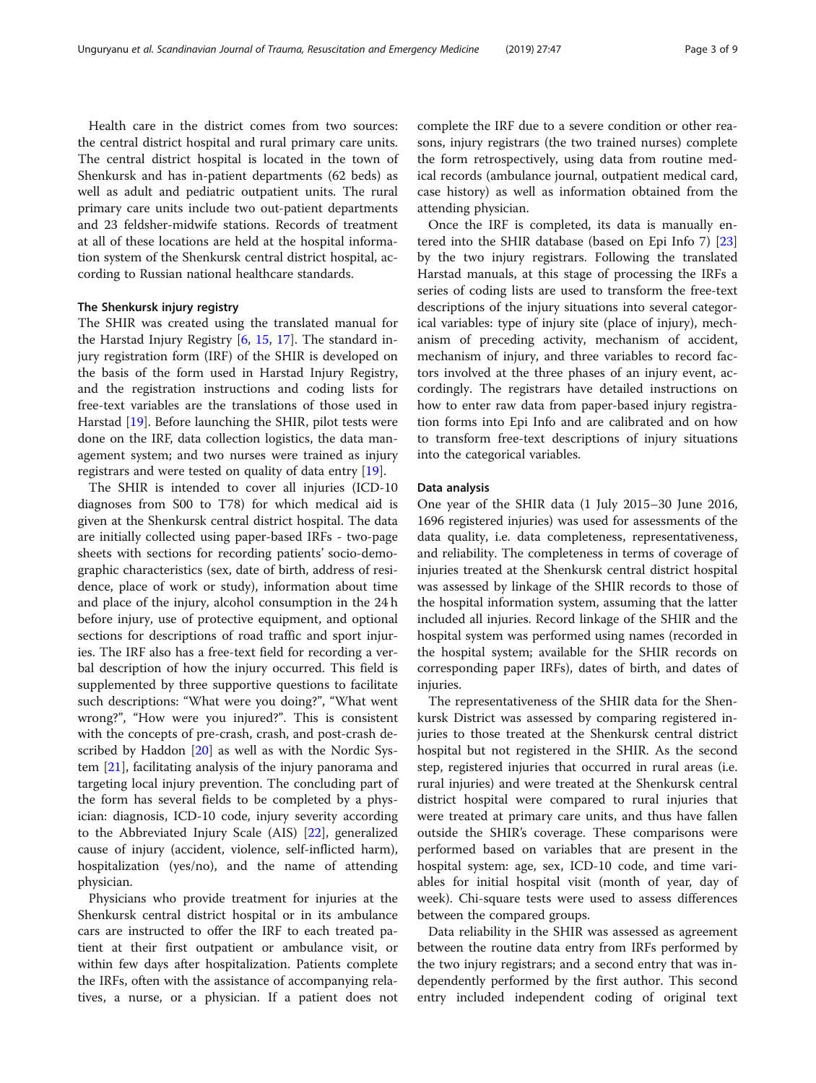Health care in the district comes from two sources: the central district hospital and rural primary care units. The central district hospital is located in the town of Shenkursk and has in-patient departments (62 beds) as well as adult and pediatric outpatient units. The rural primary care units include two out-patient departments and 23 feldsher-midwife stations. Records of treatment at all of these locations are held at the hospital information system of the Shenkursk central district hospital, according to Russian national healthcare standards.

#### The Shenkursk injury registry

The SHIR was created using the translated manual for the Harstad Injury Registry [\[6,](#page-8-0) [15](#page-8-0), [17\]](#page-8-0). The standard injury registration form (IRF) of the SHIR is developed on the basis of the form used in Harstad Injury Registry, and the registration instructions and coding lists for free-text variables are the translations of those used in Harstad [[19\]](#page-8-0). Before launching the SHIR, pilot tests were done on the IRF, data collection logistics, the data management system; and two nurses were trained as injury registrars and were tested on quality of data entry [\[19\]](#page-8-0).

The SHIR is intended to cover all injuries (ICD-10 diagnoses from S00 to T78) for which medical aid is given at the Shenkursk central district hospital. The data are initially collected using paper-based IRFs - two-page sheets with sections for recording patients' socio-demographic characteristics (sex, date of birth, address of residence, place of work or study), information about time and place of the injury, alcohol consumption in the 24 h before injury, use of protective equipment, and optional sections for descriptions of road traffic and sport injuries. The IRF also has a free-text field for recording a verbal description of how the injury occurred. This field is supplemented by three supportive questions to facilitate such descriptions: "What were you doing?", "What went wrong?", "How were you injured?". This is consistent with the concepts of pre-crash, crash, and post-crash described by Haddon [[20](#page-8-0)] as well as with the Nordic System [[21\]](#page-8-0), facilitating analysis of the injury panorama and targeting local injury prevention. The concluding part of the form has several fields to be completed by a physician: diagnosis, ICD-10 code, injury severity according to the Abbreviated Injury Scale (AIS) [[22\]](#page-8-0), generalized cause of injury (accident, violence, self-inflicted harm), hospitalization (yes/no), and the name of attending physician.

Physicians who provide treatment for injuries at the Shenkursk central district hospital or in its ambulance cars are instructed to offer the IRF to each treated patient at their first outpatient or ambulance visit, or within few days after hospitalization. Patients complete the IRFs, often with the assistance of accompanying relatives, a nurse, or a physician. If a patient does not complete the IRF due to a severe condition or other reasons, injury registrars (the two trained nurses) complete the form retrospectively, using data from routine medical records (ambulance journal, outpatient medical card, case history) as well as information obtained from the attending physician.

Once the IRF is completed, its data is manually entered into the SHIR database (based on Epi Info 7) [[23](#page-8-0)] by the two injury registrars. Following the translated Harstad manuals, at this stage of processing the IRFs a series of coding lists are used to transform the free-text descriptions of the injury situations into several categorical variables: type of injury site (place of injury), mechanism of preceding activity, mechanism of accident, mechanism of injury, and three variables to record factors involved at the three phases of an injury event, accordingly. The registrars have detailed instructions on how to enter raw data from paper-based injury registration forms into Epi Info and are calibrated and on how to transform free-text descriptions of injury situations into the categorical variables.

#### Data analysis

One year of the SHIR data (1 July 2015–30 June 2016, 1696 registered injuries) was used for assessments of the data quality, i.e. data completeness, representativeness, and reliability. The completeness in terms of coverage of injuries treated at the Shenkursk central district hospital was assessed by linkage of the SHIR records to those of the hospital information system, assuming that the latter included all injuries. Record linkage of the SHIR and the hospital system was performed using names (recorded in the hospital system; available for the SHIR records on corresponding paper IRFs), dates of birth, and dates of injuries.

The representativeness of the SHIR data for the Shenkursk District was assessed by comparing registered injuries to those treated at the Shenkursk central district hospital but not registered in the SHIR. As the second step, registered injuries that occurred in rural areas (i.e. rural injuries) and were treated at the Shenkursk central district hospital were compared to rural injuries that were treated at primary care units, and thus have fallen outside the SHIR's coverage. These comparisons were performed based on variables that are present in the hospital system: age, sex, ICD-10 code, and time variables for initial hospital visit (month of year, day of week). Chi-square tests were used to assess differences between the compared groups.

Data reliability in the SHIR was assessed as agreement between the routine data entry from IRFs performed by the two injury registrars; and a second entry that was independently performed by the first author. This second entry included independent coding of original text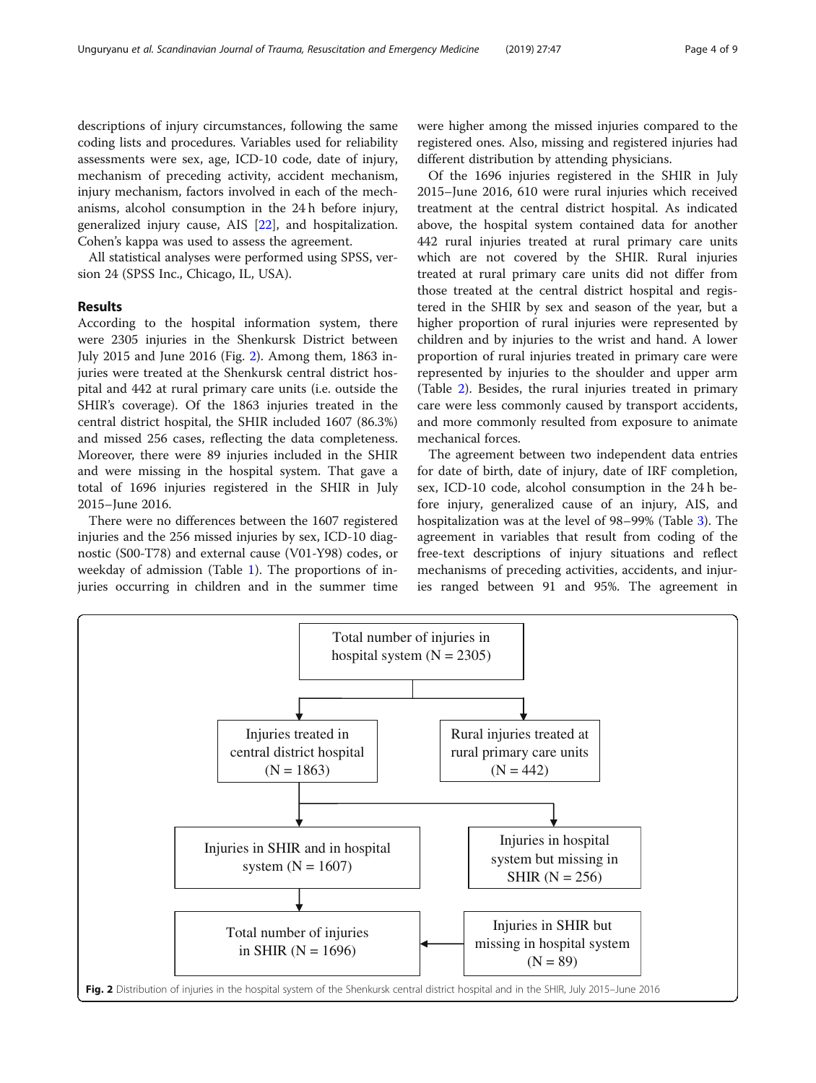descriptions of injury circumstances, following the same coding lists and procedures. Variables used for reliability assessments were sex, age, ICD-10 code, date of injury, mechanism of preceding activity, accident mechanism, injury mechanism, factors involved in each of the mechanisms, alcohol consumption in the 24 h before injury, generalized injury cause, AIS [[22\]](#page-8-0), and hospitalization. Cohen's kappa was used to assess the agreement.

All statistical analyses were performed using SPSS, version 24 (SPSS Inc., Chicago, IL, USA).

## Results

According to the hospital information system, there were 2305 injuries in the Shenkursk District between July 2015 and June 2016 (Fig. 2). Among them, 1863 injuries were treated at the Shenkursk central district hospital and 442 at rural primary care units (i.e. outside the SHIR's coverage). Of the 1863 injuries treated in the central district hospital, the SHIR included 1607 (86.3%) and missed 256 cases, reflecting the data completeness. Moreover, there were 89 injuries included in the SHIR and were missing in the hospital system. That gave a total of 1696 injuries registered in the SHIR in July 2015–June 2016.

There were no differences between the 1607 registered injuries and the 256 missed injuries by sex, ICD-10 diagnostic (S00-T78) and external cause (V01-Y98) codes, or weekday of admission (Table [1](#page-4-0)). The proportions of injuries occurring in children and in the summer time were higher among the missed injuries compared to the registered ones. Also, missing and registered injuries had different distribution by attending physicians.

Of the 1696 injuries registered in the SHIR in July 2015–June 2016, 610 were rural injuries which received treatment at the central district hospital. As indicated above, the hospital system contained data for another 442 rural injuries treated at rural primary care units which are not covered by the SHIR. Rural injuries treated at rural primary care units did not differ from those treated at the central district hospital and registered in the SHIR by sex and season of the year, but a higher proportion of rural injuries were represented by children and by injuries to the wrist and hand. A lower proportion of rural injuries treated in primary care were represented by injuries to the shoulder and upper arm (Table [2](#page-5-0)). Besides, the rural injuries treated in primary care were less commonly caused by transport accidents, and more commonly resulted from exposure to animate mechanical forces.

The agreement between two independent data entries for date of birth, date of injury, date of IRF completion, sex, ICD-10 code, alcohol consumption in the 24 h before injury, generalized cause of an injury, AIS, and hospitalization was at the level of 98–99% (Table [3\)](#page-6-0). The agreement in variables that result from coding of the free-text descriptions of injury situations and reflect mechanisms of preceding activities, accidents, and injuries ranged between 91 and 95%. The agreement in

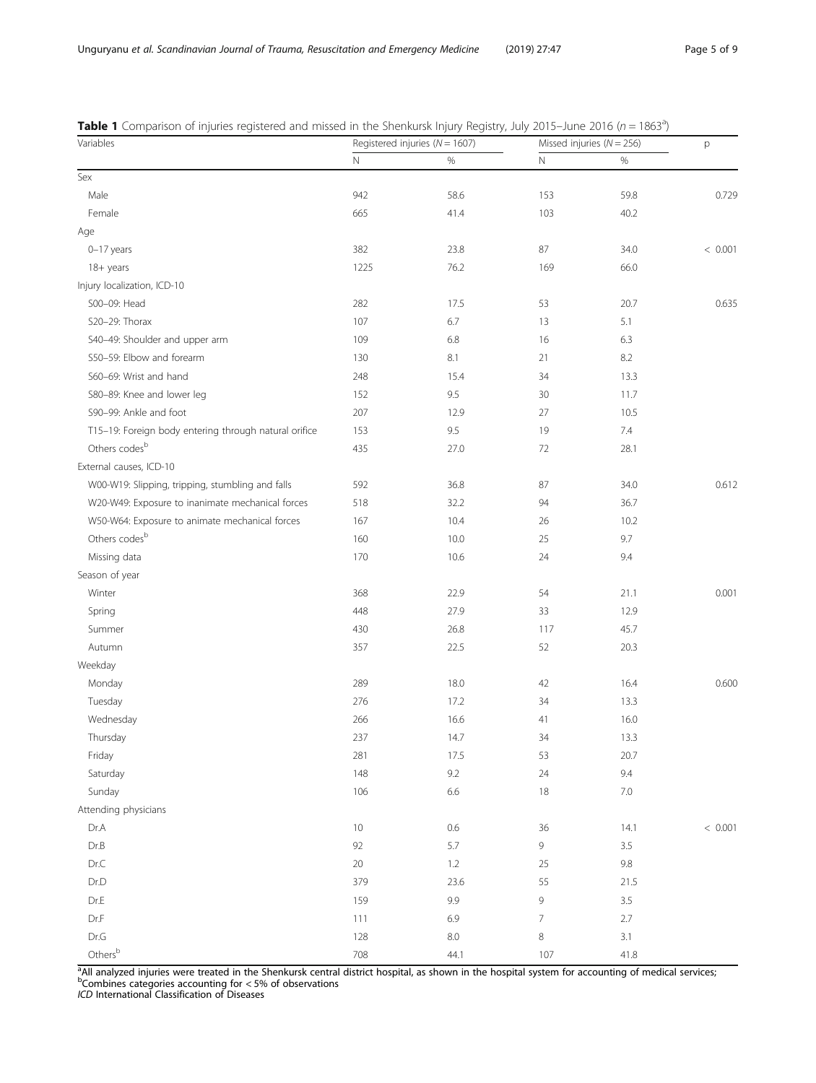| Variables                                             | .<br>Registered injuries ( $N = 1607$ ) |         |                | Missed injuries ( $N = 256$ ) |         |
|-------------------------------------------------------|-----------------------------------------|---------|----------------|-------------------------------|---------|
|                                                       | $\mathbb N$                             | $\%$    | $\mathbb N$    | $\%$                          |         |
| Sex                                                   |                                         |         |                |                               |         |
| Male                                                  | 942                                     | 58.6    | 153            | 59.8                          | 0.729   |
| Female                                                | 665                                     | 41.4    | 103            | 40.2                          |         |
| Age                                                   |                                         |         |                |                               |         |
| $0-17$ years                                          | 382                                     | 23.8    | 87             | 34.0                          | < 0.001 |
| 18+ years                                             | 1225                                    | 76.2    | 169            | 66.0                          |         |
| Injury localization, ICD-10                           |                                         |         |                |                               |         |
| S00-09: Head                                          | 282                                     | 17.5    | 53             | 20.7                          | 0.635   |
| S20-29: Thorax                                        | 107                                     | 6.7     | 13             | 5.1                           |         |
| S40-49: Shoulder and upper arm                        | 109                                     | 6.8     | 16             | 6.3                           |         |
| S50-59: Elbow and forearm                             | 130                                     | 8.1     | 21             | 8.2                           |         |
| S60-69: Wrist and hand                                | 248                                     | 15.4    | 34             | 13.3                          |         |
| S80-89: Knee and lower leg                            | 152                                     | 9.5     | 30             | 11.7                          |         |
| S90-99: Ankle and foot                                | 207                                     | 12.9    | 27             | 10.5                          |         |
| T15-19: Foreign body entering through natural orifice | 153                                     | 9.5     | 19             | 7.4                           |         |
| Others codes <sup>b</sup>                             | 435                                     | 27.0    | 72             | 28.1                          |         |
| External causes, ICD-10                               |                                         |         |                |                               |         |
| W00-W19: Slipping, tripping, stumbling and falls      | 592                                     | 36.8    | 87             | 34.0                          | 0.612   |
| W20-W49: Exposure to inanimate mechanical forces      | 518                                     | 32.2    | 94             | 36.7                          |         |
| W50-W64: Exposure to animate mechanical forces        | 167                                     | 10.4    | 26             | 10.2                          |         |
| Others codes <sup>b</sup>                             | 160                                     | 10.0    | 25             | 9.7                           |         |
| Missing data                                          | 170                                     | 10.6    | 24             | 9.4                           |         |
| Season of year                                        |                                         |         |                |                               |         |
| Winter                                                | 368                                     | 22.9    | 54             | 21.1                          | 0.001   |
| Spring                                                | 448                                     | 27.9    | 33             | 12.9                          |         |
| Summer                                                | 430                                     | 26.8    | 117            | 45.7                          |         |
|                                                       | 357                                     | 22.5    | 52             | 20.3                          |         |
| Autumn                                                |                                         |         |                |                               |         |
| Weekday                                               |                                         |         |                |                               |         |
| Monday                                                | 289                                     | 18.0    | 42             | 16.4                          | 0.600   |
| Tuesday                                               | 276                                     | 17.2    | 34             | 13.3                          |         |
| Wednesday                                             | 266                                     | 16.6    | 41             | 16.0                          |         |
| Thursday                                              | 237                                     | 14.7    | 34             | 13.3                          |         |
| Friday                                                | 281                                     | 17.5    | 53             | 20.7                          |         |
| Saturday                                              | 148                                     | 9.2     | 24             | 9.4                           |         |
| Sunday                                                | 106                                     | 6.6     | 18             | $7.0\,$                       |         |
| Attending physicians                                  |                                         |         |                |                               |         |
| Dr.A                                                  | $10$                                    | $0.6\,$ | 36             | 14.1                          | < 0.001 |
| Dr.B                                                  | 92                                      | 5.7     | 9              | 3.5                           |         |
| Dr.C                                                  | 20                                      | 1.2     | 25             | $9.8\,$                       |         |
| Dr.D                                                  | 379                                     | 23.6    | 55             | 21.5                          |         |
| $Dr.E$                                                | 159                                     | 9.9     | 9              | 3.5                           |         |
| Dr.F                                                  | 111                                     | 6.9     | $\overline{7}$ | 2.7                           |         |
| $\mathsf{Dr}.\mathsf{G}$                              | 128                                     | $8.0\,$ | $\,8\,$        | 3.1                           |         |
| Others <sup>b</sup>                                   | 708                                     | 44.1    | 107            | 41.8                          |         |

<span id="page-4-0"></span>Table 1 Comparison of injuries registered and missed in the Shenkursk Injury Registry, July 2015–June 2016 (n = 1863<sup>a</sup>)

<sup>a</sup>All analyzed injuries were treated in the Shenkursk central district hospital, as shown in the hospital system for accounting of medical services,<br><sup>b</sup>Combines categories accounting for < 5% of observations

ICD International Classification of Diseases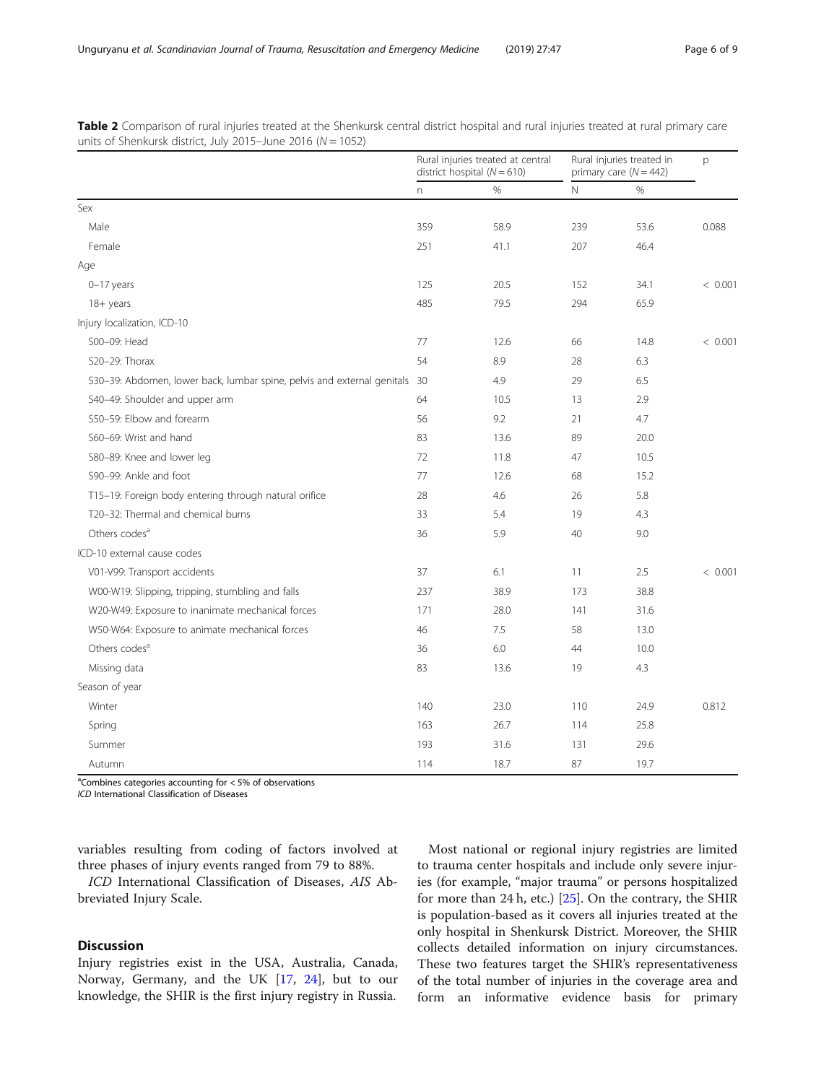|                                                                            | Rural injuries treated at central<br>district hospital $(N = 610)$ |      | Rural injuries treated in<br>primary care $(N = 442)$ |      | p       |
|----------------------------------------------------------------------------|--------------------------------------------------------------------|------|-------------------------------------------------------|------|---------|
|                                                                            | n                                                                  | $\%$ | N                                                     | %    |         |
| Sex                                                                        |                                                                    |      |                                                       |      |         |
| Male                                                                       | 359                                                                | 58.9 | 239                                                   | 53.6 | 0.088   |
| Female                                                                     | 251                                                                | 41.1 | 207                                                   | 46.4 |         |
| Age                                                                        |                                                                    |      |                                                       |      |         |
| $0-17$ years                                                               | 125                                                                | 20.5 | 152                                                   | 34.1 | < 0.001 |
| 18+ years                                                                  | 485                                                                | 79.5 | 294                                                   | 65.9 |         |
| Injury localization, ICD-10                                                |                                                                    |      |                                                       |      |         |
| S00-09: Head                                                               | 77                                                                 | 12.6 | 66                                                    | 14.8 | < 0.001 |
| S20-29: Thorax                                                             | 54                                                                 | 8.9  | 28                                                    | 6.3  |         |
| S30-39: Abdomen, lower back, lumbar spine, pelvis and external genitals 30 |                                                                    | 4.9  | 29                                                    | 6.5  |         |
| S40-49: Shoulder and upper arm                                             | 64                                                                 | 10.5 | 13                                                    | 2.9  |         |
| S50-59: Elbow and forearm                                                  | 56                                                                 | 9.2  | 21                                                    | 4.7  |         |
| S60-69: Wrist and hand                                                     | 83                                                                 | 13.6 | 89                                                    | 20.0 |         |
| S80-89: Knee and lower leg                                                 | 72                                                                 | 11.8 | 47                                                    | 10.5 |         |
| S90-99: Ankle and foot                                                     | 77                                                                 | 12.6 | 68                                                    | 15.2 |         |
| T15-19: Foreign body entering through natural orifice                      | 28                                                                 | 4.6  | 26                                                    | 5.8  |         |
| T20-32: Thermal and chemical burns                                         | 33                                                                 | 5.4  | 19                                                    | 4.3  |         |
| Others codes <sup>a</sup>                                                  | 36                                                                 | 5.9  | 40                                                    | 9.0  |         |
| ICD-10 external cause codes                                                |                                                                    |      |                                                       |      |         |
| V01-V99: Transport accidents                                               | 37                                                                 | 6.1  | 11                                                    | 2.5  | < 0.001 |
| W00-W19: Slipping, tripping, stumbling and falls                           | 237                                                                | 38.9 | 173                                                   | 38.8 |         |
| W20-W49: Exposure to inanimate mechanical forces                           | 171                                                                | 28.0 | 141                                                   | 31.6 |         |
| W50-W64: Exposure to animate mechanical forces                             | 46                                                                 | 7.5  | 58                                                    | 13.0 |         |
| Others codes <sup>a</sup>                                                  | 36                                                                 | 6.0  | 44                                                    | 10.0 |         |
| Missing data                                                               | 83                                                                 | 13.6 | 19                                                    | 4.3  |         |
| Season of year                                                             |                                                                    |      |                                                       |      |         |
| Winter                                                                     | 140                                                                | 23.0 | 110                                                   | 24.9 | 0.812   |
| Spring                                                                     | 163                                                                | 26.7 | 114                                                   | 25.8 |         |
| Summer                                                                     | 193                                                                | 31.6 | 131                                                   | 29.6 |         |
| Autumn                                                                     | 114                                                                | 18.7 | 87                                                    | 19.7 |         |

<span id="page-5-0"></span>Table 2 Comparison of rural injuries treated at the Shenkursk central district hospital and rural injuries treated at rural primary care units of Shenkursk district, July 2015–June 2016 ( $N = 1052$ )

<sup>a</sup>Combines categories accounting for < 5% of observations

ICD International Classification of Diseases

variables resulting from coding of factors involved at three phases of injury events ranged from 79 to 88%.

ICD International Classification of Diseases, AIS Abbreviated Injury Scale.

### **Discussion**

Injury registries exist in the USA, Australia, Canada, Norway, Germany, and the UK [\[17](#page-8-0), [24\]](#page-8-0), but to our knowledge, the SHIR is the first injury registry in Russia.

Most national or regional injury registries are limited to trauma center hospitals and include only severe injuries (for example, "major trauma" or persons hospitalized for more than 24 h, etc.) [[25\]](#page-8-0). On the contrary, the SHIR is population-based as it covers all injuries treated at the only hospital in Shenkursk District. Moreover, the SHIR collects detailed information on injury circumstances. These two features target the SHIR's representativeness of the total number of injuries in the coverage area and form an informative evidence basis for primary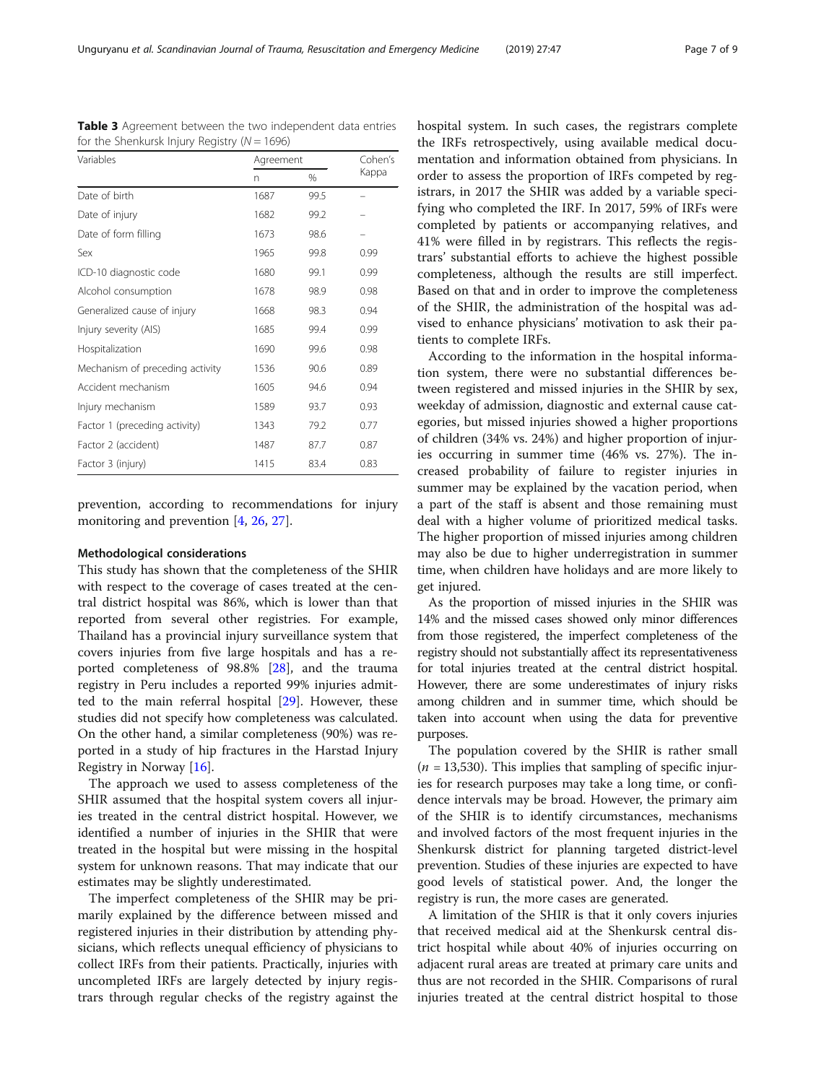| Variables                       | Agreement | Cohen's |       |
|---------------------------------|-----------|---------|-------|
|                                 | n         | %       | Kappa |
| Date of birth                   | 1687      | 99.5    |       |
| Date of injury                  | 1682      | 99.2    |       |
| Date of form filling            | 1673      | 98.6    |       |
| Sex                             | 1965      | 99.8    | 0.99  |
| ICD-10 diagnostic code          | 1680      | 99.1    | 0.99  |
| Alcohol consumption             | 1678      | 98.9    | 0.98  |
| Generalized cause of injury     | 1668      | 98.3    | 0.94  |
| Injury severity (AIS)           | 1685      | 99.4    | 0.99  |
| Hospitalization                 | 1690      | 99.6    | 0.98  |
| Mechanism of preceding activity | 1536      | 90.6    | 0.89  |
| Accident mechanism              | 1605      | 94.6    | 0.94  |
| Injury mechanism                | 1589      | 93.7    | 0.93  |
| Factor 1 (preceding activity)   | 1343      | 79.2    | 0.77  |
| Factor 2 (accident)             | 1487      | 87.7    | 0.87  |
| Factor 3 (injury)               | 1415      | 83.4    | 0.83  |

<span id="page-6-0"></span>Table 3 Agreement between the two independent data entries for the Shenkursk Injury Registry ( $N = 1696$ )

prevention, according to recommendations for injury monitoring and prevention [[4,](#page-8-0) [26](#page-8-0), [27](#page-8-0)].

#### Methodological considerations

This study has shown that the completeness of the SHIR with respect to the coverage of cases treated at the central district hospital was 86%, which is lower than that reported from several other registries. For example, Thailand has a provincial injury surveillance system that covers injuries from five large hospitals and has a reported completeness of 98.8% [[28\]](#page-8-0), and the trauma registry in Peru includes a reported 99% injuries admitted to the main referral hospital [\[29](#page-8-0)]. However, these studies did not specify how completeness was calculated. On the other hand, a similar completeness (90%) was reported in a study of hip fractures in the Harstad Injury Registry in Norway [\[16](#page-8-0)].

The approach we used to assess completeness of the SHIR assumed that the hospital system covers all injuries treated in the central district hospital. However, we identified a number of injuries in the SHIR that were treated in the hospital but were missing in the hospital system for unknown reasons. That may indicate that our estimates may be slightly underestimated.

The imperfect completeness of the SHIR may be primarily explained by the difference between missed and registered injuries in their distribution by attending physicians, which reflects unequal efficiency of physicians to collect IRFs from their patients. Practically, injuries with uncompleted IRFs are largely detected by injury registrars through regular checks of the registry against the hospital system. In such cases, the registrars complete the IRFs retrospectively, using available medical documentation and information obtained from physicians. In order to assess the proportion of IRFs competed by registrars, in 2017 the SHIR was added by a variable specifying who completed the IRF. In 2017, 59% of IRFs were completed by patients or accompanying relatives, and 41% were filled in by registrars. This reflects the registrars' substantial efforts to achieve the highest possible completeness, although the results are still imperfect. Based on that and in order to improve the completeness of the SHIR, the administration of the hospital was advised to enhance physicians' motivation to ask their patients to complete IRFs.

According to the information in the hospital information system, there were no substantial differences between registered and missed injuries in the SHIR by sex, weekday of admission, diagnostic and external cause categories, but missed injuries showed a higher proportions of children (34% vs. 24%) and higher proportion of injuries occurring in summer time (46% vs. 27%). The increased probability of failure to register injuries in summer may be explained by the vacation period, when a part of the staff is absent and those remaining must deal with a higher volume of prioritized medical tasks. The higher proportion of missed injuries among children may also be due to higher underregistration in summer time, when children have holidays and are more likely to get injured.

As the proportion of missed injuries in the SHIR was 14% and the missed cases showed only minor differences from those registered, the imperfect completeness of the registry should not substantially affect its representativeness for total injuries treated at the central district hospital. However, there are some underestimates of injury risks among children and in summer time, which should be taken into account when using the data for preventive purposes.

The population covered by the SHIR is rather small  $(n = 13,530)$ . This implies that sampling of specific injuries for research purposes may take a long time, or confidence intervals may be broad. However, the primary aim of the SHIR is to identify circumstances, mechanisms and involved factors of the most frequent injuries in the Shenkursk district for planning targeted district-level prevention. Studies of these injuries are expected to have good levels of statistical power. And, the longer the registry is run, the more cases are generated.

A limitation of the SHIR is that it only covers injuries that received medical aid at the Shenkursk central district hospital while about 40% of injuries occurring on adjacent rural areas are treated at primary care units and thus are not recorded in the SHIR. Comparisons of rural injuries treated at the central district hospital to those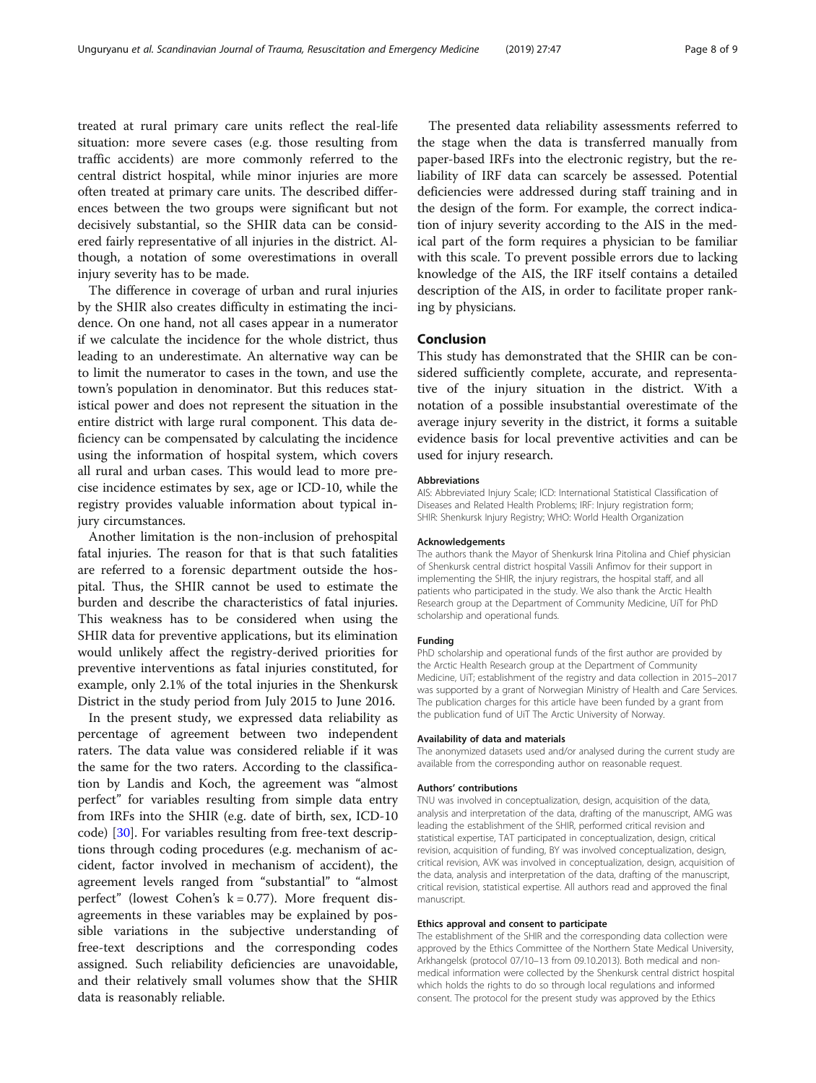treated at rural primary care units reflect the real-life situation: more severe cases (e.g. those resulting from traffic accidents) are more commonly referred to the central district hospital, while minor injuries are more often treated at primary care units. The described differences between the two groups were significant but not decisively substantial, so the SHIR data can be considered fairly representative of all injuries in the district. Although, a notation of some overestimations in overall injury severity has to be made.

The difference in coverage of urban and rural injuries by the SHIR also creates difficulty in estimating the incidence. On one hand, not all cases appear in a numerator if we calculate the incidence for the whole district, thus leading to an underestimate. An alternative way can be to limit the numerator to cases in the town, and use the town's population in denominator. But this reduces statistical power and does not represent the situation in the entire district with large rural component. This data deficiency can be compensated by calculating the incidence using the information of hospital system, which covers all rural and urban cases. This would lead to more precise incidence estimates by sex, age or ICD-10, while the registry provides valuable information about typical injury circumstances.

Another limitation is the non-inclusion of prehospital fatal injuries. The reason for that is that such fatalities are referred to a forensic department outside the hospital. Thus, the SHIR cannot be used to estimate the burden and describe the characteristics of fatal injuries. This weakness has to be considered when using the SHIR data for preventive applications, but its elimination would unlikely affect the registry-derived priorities for preventive interventions as fatal injuries constituted, for example, only 2.1% of the total injuries in the Shenkursk District in the study period from July 2015 to June 2016.

In the present study, we expressed data reliability as percentage of agreement between two independent raters. The data value was considered reliable if it was the same for the two raters. According to the classification by Landis and Koch, the agreement was "almost perfect" for variables resulting from simple data entry from IRFs into the SHIR (e.g. date of birth, sex, ICD-10 code) [\[30\]](#page-8-0). For variables resulting from free-text descriptions through coding procedures (e.g. mechanism of accident, factor involved in mechanism of accident), the agreement levels ranged from "substantial" to "almost perfect" (lowest Cohen's  $k = 0.77$ ). More frequent disagreements in these variables may be explained by possible variations in the subjective understanding of free-text descriptions and the corresponding codes assigned. Such reliability deficiencies are unavoidable, and their relatively small volumes show that the SHIR data is reasonably reliable.

The presented data reliability assessments referred to the stage when the data is transferred manually from paper-based IRFs into the electronic registry, but the reliability of IRF data can scarcely be assessed. Potential deficiencies were addressed during staff training and in the design of the form. For example, the correct indication of injury severity according to the AIS in the medical part of the form requires a physician to be familiar with this scale. To prevent possible errors due to lacking knowledge of the AIS, the IRF itself contains a detailed description of the AIS, in order to facilitate proper ranking by physicians.

#### Conclusion

This study has demonstrated that the SHIR can be considered sufficiently complete, accurate, and representative of the injury situation in the district. With a notation of a possible insubstantial overestimate of the average injury severity in the district, it forms a suitable evidence basis for local preventive activities and can be used for injury research.

#### Abbreviations

AIS: Abbreviated Injury Scale; ICD: International Statistical Classification of Diseases and Related Health Problems; IRF: Injury registration form; SHIR: Shenkursk Injury Registry; WHO: World Health Organization

#### Acknowledgements

The authors thank the Mayor of Shenkursk Irina Pitolina and Chief physician of Shenkursk central district hospital Vassili Anfimov for their support in implementing the SHIR, the injury registrars, the hospital staff, and all patients who participated in the study. We also thank the Arctic Health Research group at the Department of Community Medicine, UiT for PhD scholarship and operational funds.

#### Funding

PhD scholarship and operational funds of the first author are provided by the Arctic Health Research group at the Department of Community Medicine, UiT; establishment of the registry and data collection in 2015–2017 was supported by a grant of Norwegian Ministry of Health and Care Services. The publication charges for this article have been funded by a grant from the publication fund of UiT The Arctic University of Norway.

#### Availability of data and materials

The anonymized datasets used and/or analysed during the current study are available from the corresponding author on reasonable request.

#### Authors' contributions

TNU was involved in conceptualization, design, acquisition of the data, analysis and interpretation of the data, drafting of the manuscript, AMG was leading the establishment of the SHIR, performed critical revision and statistical expertise, TAT participated in conceptualization, design, critical revision, acquisition of funding, BY was involved conceptualization, design, critical revision, AVK was involved in conceptualization, design, acquisition of the data, analysis and interpretation of the data, drafting of the manuscript, critical revision, statistical expertise. All authors read and approved the final manuscript.

#### Ethics approval and consent to participate

The establishment of the SHIR and the corresponding data collection were approved by the Ethics Committee of the Northern State Medical University, Arkhangelsk (protocol 07/10–13 from 09.10.2013). Both medical and nonmedical information were collected by the Shenkursk central district hospital which holds the rights to do so through local regulations and informed consent. The protocol for the present study was approved by the Ethics